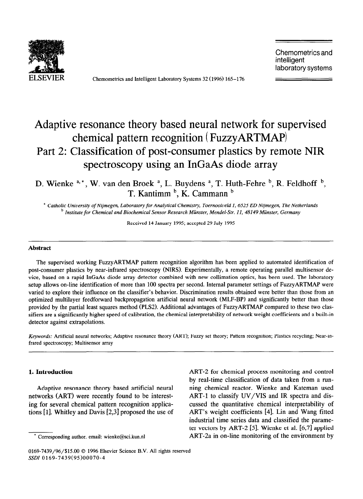

Chemometrics and Intelligent Laboratory Systems 32 (1996) 165-176

Chemometrics and intelligent laboratory systems

# Adaptive resonance theory based neural network for supervised chemical pattern recognition ( FuzzyARTMAP) Part 2: Classification of post-consumer plastics by remote NIR spectroscopy using an InGaAs diode array

D. Wienke  $a^*$ , W. van den Broek  $a^*$ , L. Buydens  $a^*$ , T. Huth-Fehre  $b^*$ , R. Feldhoff  $b^*$ , T. Kantimm<sup>b</sup>, K. Cammann<sup>b</sup>

a *Catholic Uniuersity of Nijmegen, Laboratory for Analytical Chemistry, Toernooiueld I, 6525 ED Nijmegen, The Netherlands*  <sup>b</sup> Institute for Chemical and Biochemical Sensor Research Münster, Mendel-Str. 11, 48149 Münster, Germany

Received 14 January 1995; accepted 29 July 1995

#### **Abstract**

The supervised working FuzzyARTMAP pattern recognition algorithm has been applied to automated identification of post-consumer plastics by near-infrared spectroscopy (NIRS). Experimentally, a remote operating parallel multisensor device, based on a rapid InGaAs diode array detector combined with new collimation optics, has been used. The laboratory setup allows on-line identification of more than 100 spectra per second. Internal parameter settings of FuzzyARTMAP were varied to explore their influence on the classifier's behavior. Discrimination results obtained were better than those from an optimized multilayer feedforward backpropagation artificial neural network (MLF-BP) and significantly better than those provided by the partial least squares method (PLSZ). Additional advantages of FuzzyARTMAP compared to these two classifiers are a significantly higher speed of calibration, the chemical interpretability of network weight coefficients and a built-in detector against extrapolations.

*Keywords:* Artificial neural networks; Adaptive resonance theory (ART); Fuzzy set theory; Pattern recognition; Plastics recycling; Near-infrared spectroscopy; Multisensor array

#### **1. Introduction**

Adaptive resonance theory based artificial neural networks (ART) were recently found to be interesting for several chemical pattern recognition applications [l]. Whitley and Davis [2,3] proposed the use of

Corresponding author. email: wienke@sci.kun.nl

ART-2 for chemical process monitoring and control by real-time classification of data taken from a running chemical reactor. Wienke and Kateman used ART-l to classify UV/VIS and IR spectra and discussed the quantitative chemical interpretability of ART's weight coefficients [4]. Lin and Wang fitted industrial time series data and classified the parameter vectors by ART-2 [5]. Wienke et al. [6,7] applied ART-2a in on-line monitoring of the environment by

<sup>0169-7439/96/\$15.00 0 1996</sup> Elsevier Science B.V. All rights reserved SSDI 0169-7439(95)00070-4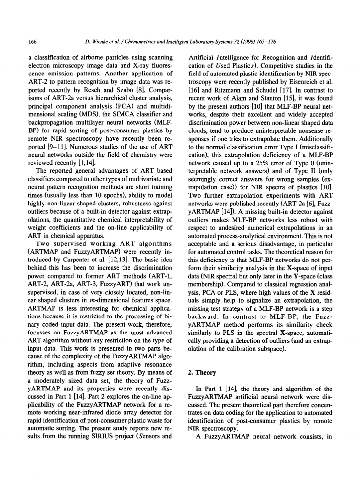a classification of airborne particles using scanning electron microscopy image data and X-ray fluorescence emission patterns. Another application of ART-2 to pattern recognition by image data was reported recently by Resch and Szabo [8]. Comparisons of ART-2a versus hierarchical cluster analysis, principal component analysis (PCA) and multidimensional scaling (MDS), the SIMCA classifier and backpropagation multilayer neural networks (MLF-BP) for rapid sorting of post-consumer plastics by remote NIR spectroscopy have recently been reported [9-11]. Numerous studies of the use of ART neural networks outside the field of chemistry were reviewed recently [1,14].

The reported general advantages of ART based classifiers compared to other types of multivariate and neural pattern recognition methods are short training times (usually less than 10 epochs), ability to model highly non-linear shaped clusters, robustness against outliers because of a built-in detector against extrapolations, the quantitative chemical interpretability of weight coefficients and the on-line applicability of ART in chemical apparatus.

Two supervised working ART algorithms (ARTMAP and FuzzyARTMAP) were recently introduced by Carpenter et al. [12,13]. The basic idea behind this has been to increase the discrimination power compared to former ART methods (ART-l, ART-2, ART-2a, ART-3, FuzzyART) that work unsupervised, in case of very closely located, non-linear shaped clusters in m-dimensional features space. ARTMAP is less interesting for chemical applications because it is restricted to the processing of binary coded input data. The present work, therefore, focusses on FuzzyARTMAP as the most advanced ART algorithm without any restriction on the type of input data. This work is presented in two parts because of the complexity of the FuzzyARTMAP algorithm, including aspects from adaptive resonance theory as well as from fuzzy set theory. By means of a moderately sized data set, the theory of FuzzyARTMAP and its properties were recently discussed in Part 1 [14]. Part 2 explores the on-line applicability of the FuzzyARTMAP network for a remote working near-infrared diode array detector for rapid identification of post-consumer plastic waste for automatic sorting. The present study reports new results from the running SIRIUS project (Sensors and

Artificial Intelligence for Recognition and Zdentification of Used Plastics). Competitive studies in the field of automated plastic identification by NIR spectroscopy were recently published by Eisenreich et al. [16] and Ritzmann and Schudel [17]. In contrast to recent work of Alam and Stanton [15], it was found by the present authors [10] that MLF-BP neural networks, despite their excellent and widely accepted discrimination power between non-linear shaped data clouds, tend to produce uninterpretable nonsense responses if one tries to extrapolate them. Additionally to the normal classification error Type I (misclassification), this extrapolation deficiency of a MLF-BP network caused up to a 25% error of Type 0 (uninterpretable network answers) and of Type II (only seemingly correct answers for wrong samples (extrapolation case)) for NIR spectra of plastics  $[10]$ . Two further extrapolation experiments with ART networks were published recently (ART-2a [6], FuzzyARTMAP [14]). A missing built-in detector against outliers makes MLF-BP networks less robust with respect to undesired numerical extrapolations in an automated process-analytical environment. This is not acceptable and a serious disadvantage, in particular for automated control tasks. The theoretical reason for this deficiency is that MLF-BP networks do not perform their similarity analysis in the X-space of input data (NIR spectra) but only later in the Y-space (class membership). Compared to classical regression analysis, PCA or PLS, where high values of the X residuals simply help to signalize an extrapolation, the missing test strategy of a MLF-BP network is a step backward. In contrast to MLF-BP, the FuzzyARTMAP method performs its similarity check similarly to PLS in the spectral X-space, automatically providing a detection of outliers (and an extrapolation of the calibration subspace).

## 2. **Theory**

In Part 1 [14], the theory and algorithm of the FuzzyARTMAP artificial neural network were discussed. The present theoretical part therefore concentrates on data coding for the application to automated identification of post-consumer plastics by remote NIR spectroscopy.

A FuzzyARTMAP neural network consists, in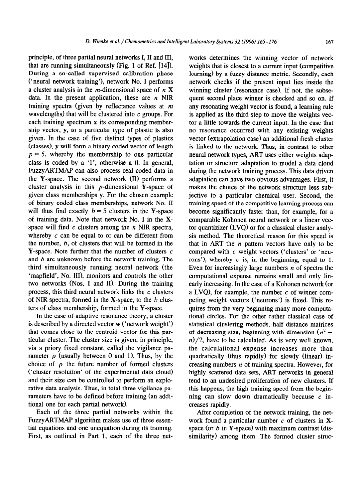principle, of three partial neural networks I, II and III, that are running simultaneously (Fig. 1 of Ref. [14]). During a so-called supervised calibration phase ('neural network training'), network No. I performs a cluster analysis in the m-dimensional space of *n* X data. In the present application, these are  $n$  NIR training spectra (given by reflectance values at *m*  wavelengths) that will be clustered into  $c$  groups. For each training spectrum x its corresponding membership vector, y, to a particular type of plastic is also given. In the case of five distinct types of plastics (classes), y will form a binary coded vector of length  $p = 5$ , whereby the membership to one particular class is coded by a 'I', otherwise a 0. In general, FuzzyARTMAP can also process real coded data in the Y-space. The second network (II) performs a cluster analysis in this p-dimensional Y-space of given class memberships y. For the chosen example of binary coded class memberships, network No. II will thus find exactly  $b = 5$  clusters in the Y-space of training data. Note that network No. I in the Xspace will find  $c$  clusters among the  $n$  NIR spectra, whereby c can be equal to or can be different from the number, *b,* of clusters that will be formed in the **Y**-space. Note further that the number of clusters  $c$ and *b* are unknown before the network training. The third simultaneously running neural network (the 'mapfield', No. III), monitors and controls the other two networks (Nos. I and II). During the training process, this third neural network links the c clusters of NIR spectra, formed in the X-space, to the *b* clusters of class membership, formed in the Y-space.

In the case of adaptive resonance theory, a cluster is described by a directed vector w ('network weight') that comes close to the centroid vector for this particular cluster. The cluster size is given, in principle, via a priory fixed constant, called the vigilance parameter  $\rho$  (usually between 0 and 1). Thus, by the choice of  $\rho$  the future number of formed clusters ('cluster resolution' of the experimental data cloud) and their size can be controlled to perform an explorative data analysis. Thus, in total three vigilance parameters have to be defined before training (an additional one for each partial network).

Each of the three partial networks within the After completion of the network training, the net-

works determines the winning vector of network weights that is closest to a current input (competitive learning) by a fuzzy distance metric. Secondly, each network checks if the present input lies inside the winning cluster (resonance case). If not, the subsequent second place winner is checked and so on. If any resonating weight vector is found, a learning rule is applied as the third step to move the weights vector a little towards the current input. In the case that no resonance occurred with any existing weights vector (extrapolation case) an additional fresh cluster is linked to the network. Thus, in contrast to other neural network types, ART uses either weights adaptation or structure adaptation to model a data cloud during the network training process. This data driven adaptation can have two obvious advantages. First, it makes the choice of the network structure less subjective to a particular chemical user. Second, the training speed of the competitive learning process can become significantly faster than, for example, for a comparable Kohonen neural network or a linear vector quantizizer (LVQ) or for a classical cluster analysis method. The theoretical reason for this speed is that in ART the  $n$  pattern vectors have only to be compared with c weight vectors ('clusters' or 'neurons'), whereby  $c$  is, in the beginning, equal to 1. Even for increasingly large numbers  $n$  of spectra the computational expense remains small and only linearly increasing. In the case of a Kohonen network (or a LVQ), for example, the number  $c$  of winner competing weight vectors ('neurons') is fixed. This requires from the very beginning many more computational circles. For the other rather classical case of statistical clustering methods, half distance matrices of decreasing size, beginning with dimension  $(n^2$  $n$ /2, have to be calculated. As is very well known, the calculational expense increases more than quadratically (thus rapidly) for slowly (linear) increasing numbers  $n$  of training spectra. However, for highly scattered data sets, ART networks in general tend to an undesired proliferation of new clusters. If this happens, the high training speed from the beginning can slow down dramatically because  $c$  increases rapidly.

FuzzyARTMAP algorithm makes use of three essen-<br>work found a particular number c of clusters in Xtial equations and one unequation during its training. space (or *b* in Y-space) with maximum contrast (dis-<br>First, as outlined in Part 1, each of the three net-<br>similarity) among them. The formed cluster strucsimilarity) among them. The formed cluster struc-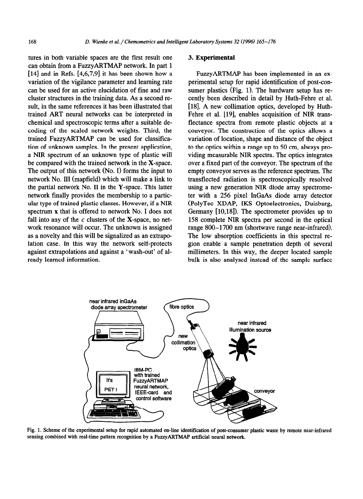tures in both variable spaces are the first result one can obtain from a FuzzyARTMAP network. In part 1  $[14]$  and in Refs.  $[4,6,7,9]$  it has been shown how a variation of the vigilance parameter and learning rate can be used for an active elucidation of fine and raw cluster structures in the training data. As a second result, in the same references it has been illustrated that trained ART neural networks can be interpreted in chemical and spectroscopic terms after a suitable decoding of the scaled network weights. Third, the trained FuzzyARTMAP can be used for classification of unknown samples. In the present application, a NIR spectrum 'of an unknown type of plastic will be compared with the trained network in the X-space. The output of this network (No. I) forms the input to network No. III (mapfield) which will make a link to the partial network No. II in the Y-space. This latter network finally provides the membership to a particular type of trained plastic classes, However, if a NIR spectrum x that is offered to network No. I does not fall into any of the  $c$  clusters of the X-space, no network resonance will occur. The unknown is assigned as a novelty and this will be signalized as an extrapolation case. In this way the network self-protects against extrapolations and against a 'wash-out' of already learned information.

#### 3. **Experimental**

FuzzyARTMAP has been implemented in an experimental setup for rapid identification of post-consumer plastics (Fig. 1). The hardware setup has recently been described in detail by Huth-Fehre et al. [18]. A new collimation optics, developed by Huth-Fehre et al. [19], enables acquisition of NIR transflectance spectra from remote plastic objects at a conveyor. The construction of the optics allows a variation of location, shape and distance of the object to the optics within a range up to 50 cm, always providing measurable NIR spectra. The optics integrates over a fixed part of the conveyor. The spectrum of the empty conveyor serves as the reference spectrum. The transflected radiation is spectroscopically resolved using a new generation NIR diode array spectrometer with a 256 pixel InGaAs diode array detector (PolyTec XDAP, IKS Optoelectronics, Duisburg, Germany [10,18]). The spectrometer provides up to 158 complete NIR spectra per second in the optical range 800-1700 nm (shortwave range near-infrared). The low absorption coefficients in this spectral region enable a sample penetration depth of several millimeters. In this way, the deeper located sample bulk is also analysed instead of the sample surface



Fig. 1. Scheme of the experimental setup for rapid automated on-line identification of post-consumer plastic waste by remote near-infrared sensing combined with real-time pattern recognition by a FuzzyARTMAP artificial neural network.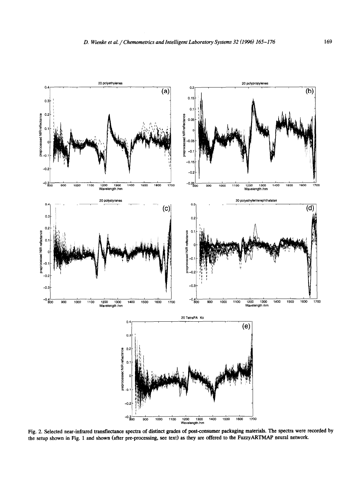

Fig. 2. Selected near-infrared transflectance spectra of distinct grades of post-consumer packaging materials. The spectra were recorded by the setup shown in Fig. 1 and shown (after pre-processing, see text) as they are offered to the FuzzyARTMAP neural network.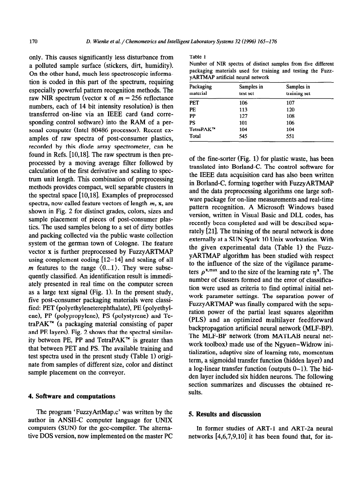only. This causes significantly less disturbance from a polluted sample surface (stickers, dirt, humidity). On the other hand, much less spectroscopic information is coded in this part of the spectrum, requiring especially powerful pattern recognition methods. The raw NIR spectrum (vector x of  $m = 256$  reflectance numbers, each of 14 bit intensity resolution) is then transferred on-line via an IEEE card (and corresponding control software) into the RAM of a personal computer (Intel 80486 processor). Recent examples of raw spectra of post-consumer plastics, recorded by this diode array spectrometer, can be found in Refs. [10,18]. The raw spectrum is then preprocessed by a moving average filter followed by calculation of the first derivative and scaling to spectrum unit length. This combination of preprocessing methods provides compact, well separable clusters in the spectral space [10,18]. Examples of preprocessed spectra, now called feature vectors of length *m, x, are*  shown in Fig. 2 for distinct grades, colors, sizes and sample placement of pieces of post-consumer plastics. The used samples belong to a set of dirty bottles and packing collected via the public waste collection system of the german town of Cologne. The feature vector x is further preprocessed by FuzzyARTMAP using complement coding  $[12-14]$  and scaling of all *m* features to the range  $(0...1)$ . They were subsequently classified. An identification result is immediately presented in real time on the computer screen as a large text signal (Fig. 1). In the present study, five post-consumer packaging materials were classified: PET (polyethyleneterephthalate), PE (polyethylene), PP (polypropylene), PS (polystyrene) and Tetra $PAK^{r_M}$  (a packaging material consisting of paper and PE layers). Fig. 2 shows that the spectral similarity between PE, PP and TetraPAK<sup>™</sup> is greater than that between PET and PS. The available training and test spectra used in the present study (Table 1) originate from samples of different size, color and distinct sample placement on the conveyor.

## 4. **Software and computations**

**The** program 'FuzzyArtMap.c' was written by the author in ANSII-C computer language for UNIX computers (SUN) for the gee-compiler. The altemative DOS version, now implemented on the master PC

| ۰.<br>I | I |
|---------|---|

| Number of NIR spectra of distinct samples from five different |  |  |  |  |  |  |
|---------------------------------------------------------------|--|--|--|--|--|--|
| packaging materials used for training and testing the Fuzz-   |  |  |  |  |  |  |
| yARTMAP artificial neural network                             |  |  |  |  |  |  |

| ◢                     |                        |                            |  |
|-----------------------|------------------------|----------------------------|--|
| Packaging<br>material | Samples in<br>test set | Samples in<br>training set |  |
| <b>PET</b>            | 106                    | 107                        |  |
| PE                    | 113                    | 120                        |  |
| PP                    | 127                    | 108                        |  |
| PS                    | 101                    | 106                        |  |
| TetraPAK <sup>™</sup> | 104                    | 104                        |  |
| Total                 | 545                    | 551                        |  |
|                       |                        |                            |  |

of the fine-sorter (Fig. 1) for plastic waste, has been translated into Borland-C. The control software for the IEEE data acquisition card has also been written in Borland-C, forming together with FuzzyARTMAP and the data preprocessing algorithms one large software package for on-line measurements and real-time pattern recognition. A Microsoft Windows based version, written in Visual Basic and DLL codes, has recently been completed and will be described separately [21]. The training of the neural network is done externally at a SUN Spark 10 Unix workstation. With the given experimental data (Table 1) the FuzzyARTMAP algorithm has been studied with respect to the influence of the size of the vigilance parameters  $\rho^{x, max}$  and to the size of the learning rate  $\eta^x$ . The number of clusters formed and the error of classification were used as criteria to find optimal initial network parameter settings. The separation power of FuzzyARTMAP was finally compared with the separation power of the partial least squares algorithm (PLS) and an optimized multilayer feedforward backpropagation artificial neural network (MLF-BP). The MLF-BP network (from MATLAB neural network toolbox) made use of the Ngyuen-Widrow initialization, adaptive size of learning rate, momentum term, a sigmoidal transfer function (hidden layer) and a log-linear transfer function (outputs O-l). The hidden layer included six hidden neurons. The following section summarizes and discusses the obtained results.

## 5. **Results and discussion**

In former studies of ART-l and ART-2a neural networks  $[4, 6, 7, 9, 10]$  it has been found that, for in-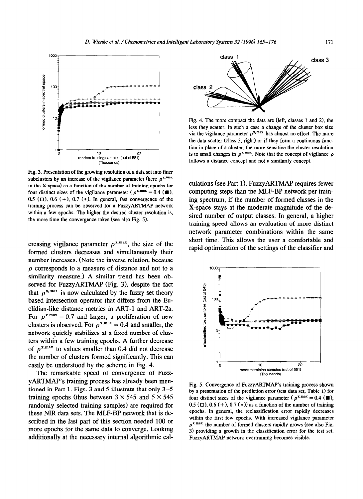

Fig. 3. Presentation of the growing resolution of a data set into finer subclusters by an increase of the vigilance parameter (here  $\rho^{x,max}$ in the X-space) as a function of the number of training epochs for four distinct sizes of the vigilance parameter ( $\rho^{x, max} = 0.4$  ( $\blacksquare$ ),  $0.5$  ( $\Box$ ),  $0.6$  (+),  $0.7$  (\*). In general, fast convergence of the training process can be observed for a FuzzyARTMAP network within a few epochs. The higher the desired cluster resolution is, the more time the convergence takes (see also Fig. 5).

creasing vigilance parameter  $\rho^{x, max}$ , the size of the formed clusters decreases and simultaneously their number increases. (Note the inverse relation, because  $\rho$  corresponds to a measure of distance and not to a similarity measure.) A similar trend has been observed for FuzzyARTMAP (Fig. 3), despite the fact that  $\rho^{x, max}$  is now calculated by the fuzzy set theory based intersection operator that differs from the Euclidian-like distance metrics in ART-l and ART-2a. For  $\rho^{x,max} = 0.7$  and larger, a proliferation of new clusters is observed. For  $\rho^{x, max} = 0.4$  and smaller, the network quickly stabilizes at a fixed number of clusters within a few training epochs. A further decrease of  $\rho^{x, max}$  to values smaller than 0.4 did not decrease the number of clusters formed significantly. This can easily be understood by the scheme in Fig. 4.

The remarkable speed of convergence of FuzzyARTMAP's training process has already been mentioned in Part 1. Figs. 3 and 5 illustrate that only 3-5 training epochs (thus between  $3 \times 545$  and  $5 \times 545$ ) randomly selected training samples) are required for these NIR data sets. The MLF-BP network that is described in the last part of this section needed 100 or more epochs for the same data to converge. Looking additionally at the necessary internal algorithmic cal-



Fig. 4. The more compact the data are (left, classes 1 and 2), the less they scatter. In such a case a change of the cluster box size via the vigilance parameter  $\rho^{x, max}$  has almost no effect. The more the data scatter (class 3, right) or if they form a continuous function in place of a cluster, the more sensitive the cluster resolution is to small changes in  $\rho^{x, \text{max}}$ . Note that the concept of vigilance  $\rho$ follows a distance concept and not a similarity concept.

culations (see Part 1), FuzzyARTMAP requires fewer computing steps than the MLF-BP network per training spectrum, if the number of formed classes in the X-space stays at the moderate magnitude of the desired number of output classes. In general, a higher training speed allows an evaluation of more distinct network parameter combinations within the same short time. This allows the user a comfortable and rapid optimization of the settings of the classifier and



Fig. 5. Convergence of FuzzyARTMAF? training process shown by a presentation of the prediction error (test data set, Table 1) for four distinct sizes of the vigilance parameter ( $\rho^{x, max} = 0.4$  ( $\blacksquare$ ),  $0.5$  ( $\Box$ ),  $0.6$  (+),  $0.7$  (\*)) as a function of the number of training epochs. In general, the reclassification error rapidly decreases within the first few epochs. With increased vigilance parameter  $\rho^{x, max}$  the number of formed clusters rapidly grows (see also Fig. 3) providing a growth in the classification error for the test set. FuzzyARTMAP network overtraining becomes visible.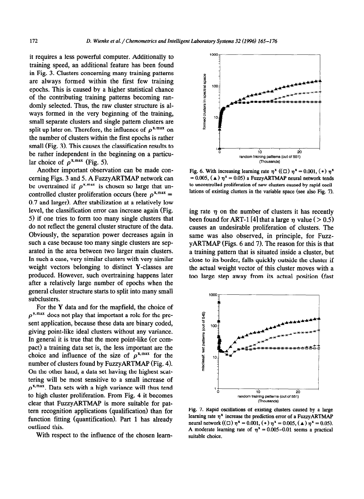it requires a less powerful computer. Additionally to training speed, an additional feature has been found in Fig. 3. Clusters concerning many training patterns are always formed within the first few training epochs. This is caused by a higher statistical chance of the contributing training patterns becoming randomly selected. Thus, the raw cluster structure is always formed in the very beginning of the training, small separate clusters and single pattern clusters are split up later on. Therefore, the influence of  $\rho^{x,\max}$  on the number of clusters within the first epochs is rather small (Fig. 3). This causes the classification results to be rather independent in the beginning on a particular choice of  $\rho^{x, max}$  (Fig. 5).

Another important observation can be made concerning Figs. 3 and 5. A FuzzyARTMAP network can be overtrained if  $p^{x, max}$  is chosen so large that uncontrolled cluster proliferation occurs (here  $\rho^{x, max}$  = 0.7 and larger). After stabilization at a relatively low level, the classification error can increase again (Fig. 5) if one tries to form too many single clusters that do not reflect the general cluster structure of the data. Obviously, the separation power decreases again in such a case because too many single clusters are separated in the area between two larger main clusters. In such a case, very similar clusters with very similar weight vectors belonging to distinct Y-classes are produced. However, such overtraining happens later after a relatively large number of epochs when the general cluster structure starts to split into many small subclusters.

For the Y data and for the mapfield, the choice of  $\rho^{y, max}$  does not play that important a role for the present application, because these data are binary coded, giving point-like ideal clusters without any variance. In general it is true that the more point-like (or compact) a training data set is, the less important are the choice and influence of the size of  $p^{x,max}$  for the number of clusters found by FuzzyARTMAP (Fig. 4). On the other hand, a data set having the highest scattering will be most sensitive to a small increase of  $\rho^{x, max}$ . Data sets with a high variance will thus tend to high cluster proliferation. From Fig. 4 it becomes clear that FuzzyARTMAP is more suitable for pattern recognition applications (qualification) than for function fitting (quantification). Part 1 has already outlined this.

With respect to the influence of the chosen learn-



Fig. 6. With increasing learning rate  $\eta^x$  (( $\Box$ )  $\eta^x$  = 0.001, (\*)  $\eta^x$  $= 0.005$ , ( $\triangle$ )  $\eta^x = 0.05$ ) a FuzzyARTMAP neural network tends to uncontrolled proliferation of new clusters caused by rapid oscillations of existing clusters in the variable space (see also Fig. 7).

ing rate  $\eta$  on the number of clusters it has recently been found for ART-1 [4] that a large  $\eta$  value (  $> 0.5$ ) causes an undesirable proliferation of clusters. The same was also observed, in principle, for FuzzyARTMAP (Figs. 6 and 7). The reason for this is that a training pattern that is situated inside a cluster, but close to its border, falls quickly outside the cluster if the actual weight vector of this cluster moves with a too large step away from its actual position (fast



Fig. 7. Rapid oscillations of existing clusters caused by a large learning rate  $\eta^*$  increase the prediction error of a FuzzyARTMAP neural network  $((\Box) \eta^x = 0.001, (*) \eta^x = 0.005, (\triangle) \eta^x = 0.05)$ . A moderate learning rate of  $\eta^x = 0.005 - 0.01$  seems a practical suitable choice.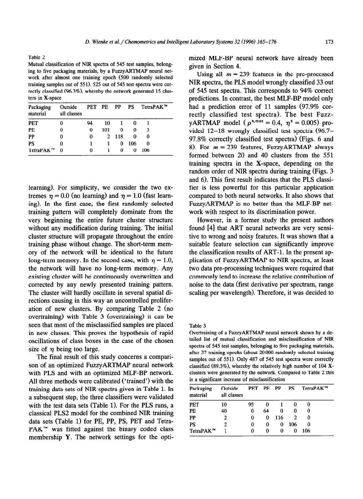Table 2

Mutual classification of NIR spectra of 545 test samples, belonging to five packaging materials, by a FuzzyARTMAP neural network after almost one training epoch (500 randomly selected training samples out of 551). 525 out of 545 test spectra were correctly classified (96.3%), whereby the network generated 15 clusters in X-space

| Packaging<br>material  | Outside<br>all classes |    | PET PE PP |       | PS. | TetraPAK <sup>™</sup> |
|------------------------|------------------------|----|-----------|-------|-----|-----------------------|
| <b>PET</b>             |                        | 94 | 10        |       | 0   |                       |
| PF.                    | 0                      | 0  | 101       | 0     | 0   | 3                     |
| PP                     |                        | O  |           | 2 118 | 0   | Ω                     |
| PS                     | 0                      |    |           | 0     | 106 | 0                     |
| TetraPAK <sup>TM</sup> | U                      |    |           | 0     | 0   | 106                   |

learning). For simplicity, we consider the two extremes  $\eta = 0.0$  (no learning) and  $\eta = 1.0$  (fast learning). In the first case, the first randomly selected training pattern will completely dominate from the very beginning the entire future cluster structure without any modification during training. The initial cluster structure will propagate throughout the entire training phase without change. The short-term memory of the network will be identical to the future long-term memory. In the second case, with  $\eta = 1.0$ , the network will have no long-term memory. Any existing cluster will be continuously overwritten and corrected by any newly presented training pattern. The cluster will hardly oscillate in several spatial directions causing in this way an uncontrolled proliferation of new clusters. By comparing Table 2 (no overtraining) with Table 3 (overtraining) it can be seen that most of the misclassified samples are placed in new classes. This proves the hypothesis of rapid oscillations of class boxes in the case of the chosen size of  *being too large.* 

The final result of this study concerns a comparison of an optimized FuzzyARTMAP neural network with PLS and with an optimized MLF-BP network. All three methods were calibrated ('trained') with the training data sets of NIR spectra given in Table 1. In a subsequent step, the three classifiers were validated with the test data sets (Table 1). For the PLS runs, a classical PLS2 model for the combined NIR training data sets (Table 1) for PE, PP, PS, PET and Tetra- $PAK^{\pi}$  was fitted against the binary coded class membership Y. The network settings for the optimized MLF-BP neural network have already been given in Section 4.

Using all  $m = 239$  features in the pre-processed NIR spectra, the PLS model wrongly classified 33 out of 545 test spectra. This corresponds to 94% correct predictions. In contrast, the best MLF-BP model only had a prediction error of 11 samples (97.9% correctly classified test spectra). The best FuzzyARTMAP model ( $\rho^{x, max} = 0.4$ ,  $\eta^x = 0.005$ ) provided 12-18 wrongly classified test spectra (96.7- 97.8% correctly classified test spectra) (Figs. 6 and 8). For  $m = 239$  features, FuzzyARTMAP always formed between 20 and 40 clusters from the 551 training spectra in the X-space, depending on the random order of NIR spectra during training (Figs. 3 and 6). This first result indicates that the PLS classifier is less powerful for this particular application compared to both neural networks. It also shows that FuzzyARTMAP is no better than the MLF-BP network with respect to its discrimination power.

However, in a former study the present authors found [4] that ART neural networks are very sensitive to wrong and noisy features. It was shown that a suitable feature selection can significantly improve the classification results of ART-l. In the present application of FuzzyARTMAP to NIR spectra, at least two data pre-processing techniques were required that commonly tend to increase the relative contribution of noise to the data (first derivative per spectrum, range scaling per wavelength). Therefore, it was decided to

Table 3

Overtraining of a FuzzyARTMAP neural network shown by a detailed list of mutual classification and misclassification of NIR spectra of 545 test samples, belonging to five packaging materials, after 37 training epochs (about 20000 randomly selected training samples out of 551). Only 487 of 545 test spectra were correctly classified (89.3%), whereby the relatively high number of 104 Xclusters were generated by the network. Compared to Table 2 this is a significant increase of misclassification

| Packaging<br>material | Outside<br>all classes | <b>PET</b> |    | PE PP | <b>PS</b> | TetraPAK™ |
|-----------------------|------------------------|------------|----|-------|-----------|-----------|
| <b>PET</b>            | 10                     | 95         |    |       |           |           |
| PЕ                    | 40                     | 0          | 64 | 0     | o         | 0         |
| PP                    | 2                      | 0          | 0  | 116   | 2         | 0         |
| PS                    |                        | 0          | 0  | 0     | 106       | 0         |
| TetraPAK <sup>™</sup> |                        | 0          | 0  | 0     | 0         | 106       |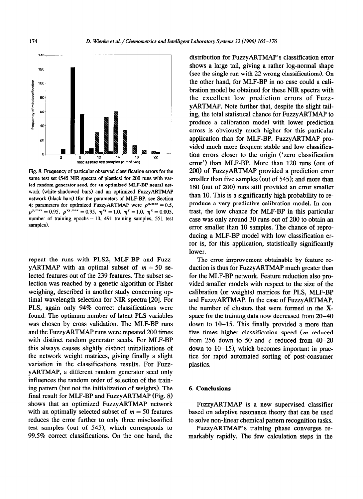

Fig. 8. Frequency of particular observed classification errors for the same test set (545 NIR spectra of plastics) for 200 runs with varied random generator seed, for an optimized MLF-BP neural network (white-shadowed bars) and an optimized FuzzyARTMAP network (black bars) (for the parameters of MLF-BP, see Section 4; parameters for optimized FuzzyARTMAP were  $\rho^{x, \text{max}} = 0.5$ ,  $\rho^{y, \max} = 0.95$ ,  $\rho^{xy, \max} = 0.95$ ,  $\eta^{xy} = 1.0$ ,  $\eta^{y} = 1.0$ ,  $\eta^{x} = 0.005$ , number of training epochs = 10, 491 training samples, 551 test samples).

repeat the runs with PLS2, MLF-BP and FuzzyARTMAP with an optimal subset of  $m = 50$  selected features out of the 239 features. The subset selection was reached by a genetic algorithm or Fisher weighing, described in another study concerning optimal wavelength selection for NIR spectra [20]. For PLS, again only 94% correct classifications were found. The optimum number of latent PLS variables was chosen by cross validation. The MLF-BP runs and the FuzzyARTMAP runs were repeated 200 times with distinct random generator seeds. For MLF-BP this always causes slightly distinct initializations of the network weight matrices, giving finally a slight variation in the classifications results. For FuzzyARTMAP, a different random generator seed only influences the random order of selection of the training pattern (but not the initialization of weights). The final result for MLF-BP and FuzzyARTMAP (Fig. 8) shows that an optimized FuzzyARTMAP network with an optimally selected subset of  $m = 50$  features reduces the error further to only three misclassified test samples (out of 545), which corresponds to 99.5% correct classifications. On the one hand, the

distribution for FuzzyARTMAP's classification error shows a large tail, giving a rather log-normal shape (see the single run with 22 wrong classifications). On the other hand, for MLF-BP in no case could a calibration model be obtained for these NIR spectra with the excellent low prediction errors of FuzzyARTMAP. Note further that, despite the slight tailing, the total statistical chance for FuzzyARTMAP to produce a calibration model with lower prediction errors is obviously much higher for this particular application than for MLF-BP. FuzzyARTMAP provided much more frequent stable and low classification errors closer to the origin ('zero classification error') than MLF-BP. More than 120 runs (out of 200) of FuzzyARTMAP provided a prediction error smaller than five samples (out of 545); and more than 180 (out of 200) runs still provided an error smaller than 10. This is a significantly high probability to reproduce a very predictive calibration model. In contrast, the low chance for MLF-BP in this particular case was only around 30 runs out of 200 to obtain an error smaller than 10 samples. The chance of reproducing a MLF-BP model with low classification error is, for this application, statistically significantly lower.

The error improvement obtainable by feature reduction is thus for FuzzyARTMAP much greater than for the MLF-BP network. Feature reduction also provided smaller models with respect to the size of the calibration (or weights) matrices for PLS, MLF-BP and FuzzyARTMAP. In the case of FuzzyARTMAP, the number of clusters that were formed in the Xspace for the training data now decreased from 20-40 down to 10-15. This finally provided a more than five times higher classification speed *(m* reduced from 256 down to 50 and  $c$  reduced from 40-20 down to  $10-15$ ), which becomes important in practice for rapid automated sorting of post-consumer plastics.

## 6. Conclusions

FuzzyARTMAP is a new supervised classifier based on adaptive resonance theory that can be used to solve non-linear chemical pattern recognition tasks.

FuzzyARTMAP's training phase converges remarkably rapidly. The few calculation steps in the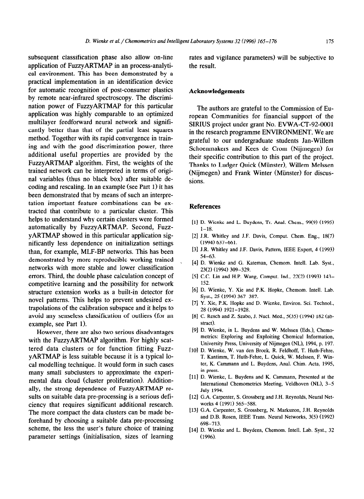subsequent classification phase also allow on-line application of FuzzyARTMAP in an process-analytical environment. This has been demonstrated by a practical implementation in an identification device for automatic recognition of post-consumer plastics by remote near-infrared spectroscopy. The discrimination power of FuzzyARTMAP for this particular application was highly comparable to an optimized multilayer feedforward neural network and significantly better than that of the partial least squares method. Together with its rapid convergence in training and with the good discrimination power, three additional useful properties are provided by the FuzzyARTMAP algorithm. First, the weights of the trained network can be interpreted in terms of original variables (thus no black box) after suitable decoding and resealing. In an example (see Part 1) it has been demonstrated that by means of such an interpretation important feature combinations can be extracted that contribute to a particular cluster. This helps to understand why certain clusters were formed automatically by FuzzyARTMAP. Second, FuzzyARTMAP showed in this particular application significantly less dependence on initialization settings than, for example, MLF-BP networks. This has been demonstrated by more reproducible working trained networks with more stable and lower classification errors. Third, the double phase calculation concept of competitive learning and the possibility for network structure extension works as a built-in detector for novel patterns. This helps to prevent undesired extrapolations of the calibration subspace and it helps to avoid any senseless classification of outliers (for an example, see Part 1).

However, there are also two serious disadvantages with the FuzzyARTMAP algorithm. For highly scattered data clusters or for function fitting FuzzyARTMAP is less suitable because it is a typical local modelling technique. It would form in such cases many small subclusters to approximate the experimental data cloud (cluster proliferation). Additionally, the strong dependence of FuzzyARTMAP results on suitable data pre-processing is a serious deficiency that requires significant additional research. The more compact the data clusters can be made beforehand by choosing a suitable data pre-processing scheme, the less the user's future choice of training parameter settings (initialisation, sizes of learning

rates and vigilance parameters) will be subjective to the result.

#### **Acknowledgements**

The authors are grateful to the Commission of European Communities for financial support of the SIRIUS project under grant No. EVWA-CT-92-0001 in the research programme ENVIRONMENT. We are grateful to our undergraduate students Jan-Willem Schoenmakers and Kees de Crom (Nijmegen) for their specific contribution to this part of the project. Thanks to Ludger Quick (Miinster), Willem Melssen (Nijmegen) and Frank Winter (Miinster) for discussions.

#### **References**

- 111 D. Wienke and L. Buydens, Tr. Anal. Chem., 99(9) (1995)  $1 - 18$ .
- 121 J.R. Whitley and J.F. Davis, Comput. Chem. Eng., 18(7) (1994) 637-661.
- 131 J.R. Whitley and J.F. Davis, Pattern, IEEE Expert, 4 (1993) 54-63.
- . [41 D. Wienke and G. Kateman, Chemom. Intell. Lab. Syst., 23(2) (1994) 309-329.
	- 151 C.C. Lin and H.P. Wang, Comput. Ind., 22(2) (1993) 143- 152.
	- **b1**  D. Wienke, Y. Xie and P.K. Hopke, Chemom. Intell. Lab. Syst., 25 (1994) 367-387.
	- *[71*  Y. Xie, P.K. Hopke and D. Wienke, Environ. Sci. Technol., 28 (1994) 1921-1928.
	- **k31**  C. Resch and Z. Szabo, J. NucI. Med., S(35) (1994) 182 (abstract).
	- [9] D. Wienke, in L. Buydens and W. Melssen (Eds.), Chemo metrics: Exploring and Exploiting Chemical Information, University Press, University of Nijmegen (NL), 1994, p. 197.
	- 1101 D. Wienke, W. van den Broek, R. Feldhoff, T. Huth-Fehre, T. Kantimm, T. Huth-Fehre, L. Quick, W. Melssen, F. Winter, K. Cammann and L. Buydens, Anal. Chim. Acta, 1995, in press.
	- 1111 D. Wienke, L. Buydens and K. Cammann, Presented at the International Chemometrics Meeting, Veldhoven (NL), 3-5 July 1994.
	- 1121 G.A. Carpenter, S. Grossberg and J.H. Reynolds, Neural Networks 4 (1991) 565-588.
	- [13] G.A. Carpenter, S. Grossberg, N. Markuzon, J.H. Reynold and D.B. Rosen, IEEE Trans. Neural Networks, 3(5) (1992) 698-713.
	- 1141 D. Wienke and L. Buydens, Chemom. Intell. Lab. Syst., 32 (1996).